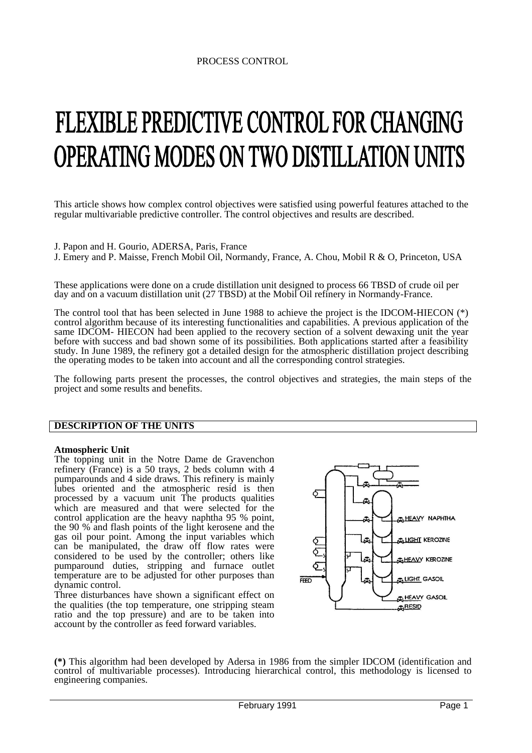# FLEXIBLE PREDICTIVE CONTROL FOR CHANGING **OPERATING MODES ON TWO DISTILLATION UNITS**

This article shows how complex control objectives were satisfied using powerful features attached to the regular multivariable predictive controller. The control objectives and results are described.

J. Papon and H. Gourio, ADERSA, Paris, France

J. Emery and P. Maisse, French Mobil Oil, Normandy, France, A. Chou, Mobil R & O, Princeton, USA

These applications were done on a crude distillation unit designed to process 66 TBSD of crude oil per day and on a vacuum distillation unit (27 TBSD) at the Mobil Oil refinery in Normandy-France.

The control tool that has been selected in June 1988 to achieve the project is the IDCOM-HIECON (\*) control algorithm because of its interesting functionalities and capabilities. A previous application of the same IDCOM- HIECON had been applied to the recovery section of a solvent dewaxing unit the year before with success and bad shown some of its possibilities. Both applications started after a feasibility study. In June 1989, the refinery got a detailed design for the atmospheric distillation project describing the operating modes to be taken into account and all the corresponding control strategies.

The following parts present the processes, the control objectives and strategies, the main steps of the project and some results and benefits.

# **DESCRIPTION OF THE UNITS**

#### **Atmospheric Unit**

The topping unit in the Notre Dame de Gravenchon refinery (France) is a 50 trays, 2 beds column with 4 pumparounds and 4 side draws. This refinery is mainly lubes oriented and the atmospheric resid is then processed by a vacuum unit The products qualities which are measured and that were selected for the control application are the heavy naphtha 95 % point, the 90 % and flash points of the light kerosene and the gas oil pour point. Among the input variables which can be manipulated, the draw off flow rates were considered to be used by the controller; others like pumparound duties, stripping and furnace outlet temperature are to be adjusted for other purposes than dynamic control.

Three disturbances have shown a significant effect on the qualities (the top temperature, one stripping steam ratio and the top pressure) and are to be taken into account by the controller as feed forward variables.



**(\*)** This algorithm had been developed by Adersa in 1986 from the simpler IDCOM (identification and control of multivariable processes). Introducing hierarchical control, this methodology is licensed to engineering companies.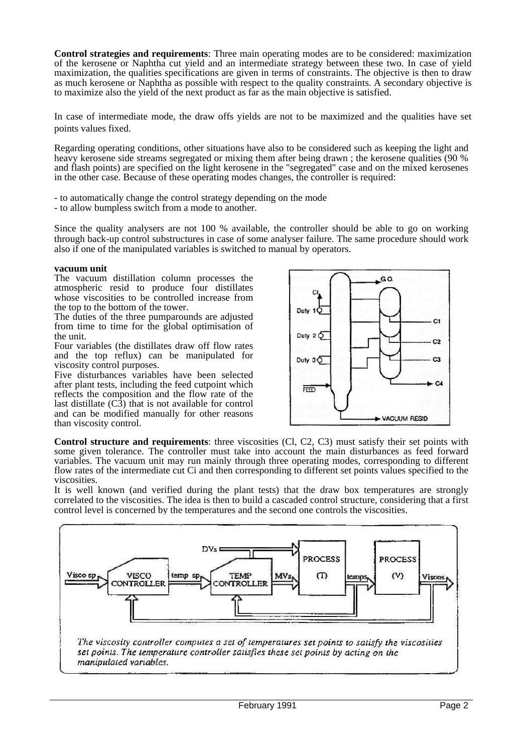**Control strategies and requirements**: Three main operating modes are to be considered: maximization of the kerosene or Naphtha cut yield and an intermediate strategy between these two. In case of yield maximization, the qualities specifications are given in terms of constraints. The objective is then to draw as much kerosene or Naphtha as possible with respect to the quality constraints. A secondary objective is to maximize also the yield of the next product as far as the main objective is satisfied.

In case of intermediate mode, the draw offs yields are not to be maximized and the qualities have set points values fixed.

Regarding operating conditions, other situations have also to be considered such as keeping the light and heavy kerosene side streams segregated or mixing them after being drawn ; the kerosene qualities (90 % and flash points) are specified on the light kerosene in the "segregated" case and on the mixed kerosenes in the other case. Because of these operating modes changes, the controller is required:

- to automatically change the control strategy depending on the mode
- to allow bumpless switch from a mode to another.

Since the quality analysers are not 100 % available, the controller should be able to go on working through back-up control substructures in case of some analyser failure. The same procedure should work also if one of the manipulated variables is switched to manual by operators.

## **vacuum unit**

The vacuum distillation column processes the atmospheric resid to produce four distillates whose viscosities to be controlled increase from the top to the bottom of the tower.

The duties of the three pumparounds are adjusted from time to time for the global optimisation of the unit.

Four variables (the distillates draw off flow rates and the top reflux) can be manipulated for viscosity control purposes.

Five disturbances variables have been selected after plant tests, including the feed cutpoint which reflects the composition and the flow rate of the last distillate  $(C3)$  that is not available for control and can be modified manually for other reasons than viscosity control.



**Control structure and requirements**: three viscosities (Cl, C2, C3) must satisfy their set points with some given tolerance. The controller must take into account the main disturbances as feed forward variables. The vacuum unit may run mainly through three operating modes, corresponding to different flow rates of the intermediate cut Ci and then corresponding to different set points values specified to the viscosities.

It is well known (and verified during the plant tests) that the draw box temperatures are strongly correlated to the viscosities. The idea is then to build a cascaded control structure, considering that a first control level is concerned by the temperatures and the second one controls the viscosities.

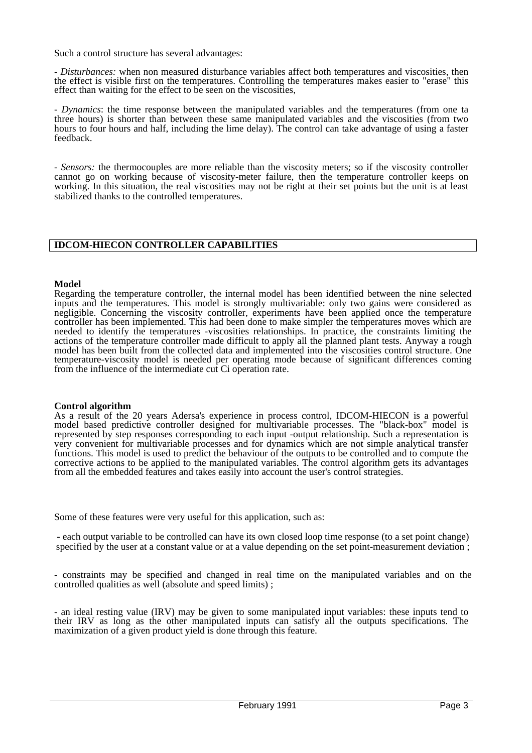Such a control structure has several advantages:

*- Disturbances:* when non measured disturbance variables affect both temperatures and viscosities, then the effect is visible first on the temperatures. Controlling the temperatures makes easier to "erase" this effect than waiting for the effect to be seen on the viscosities,

*- Dynamics*: the time response between the manipulated variables and the temperatures (from one ta three hours) is shorter than between these same manipulated variables and the viscosities (from two hours to four hours and half, including the lime delay). The control can take advantage of using a faster feedback.

*- Sensors:* the thermocouples are more reliable than the viscosity meters; so if the viscosity controller cannot go on working because of viscosity-meter failure, then the temperature controller keeps on working. In this situation, the real viscosities may not be right at their set points but the unit is at least stabilized thanks to the controlled temperatures.

# **IDCOM-HIECON CONTROLLER CAPABILITIES**

## **Model**

Regarding the temperature controller, the internal model has been identified between the nine selected inputs and the temperatures. This model is strongly multivariable: only two gains were considered as negligible. Concerning the viscosity controller, experiments have been applied once the temperature controller has been implemented. This had been done to make simpler the temperatures moves which are needed to identify the temperatures -viscosities relationships. In practice, the constraints limiting the actions of the temperature controller made difficult to apply all the planned plant tests. Anyway a rough model has been built from the collected data and implemented into the viscosities control structure. One temperature-viscosity model is needed per operating mode because of significant differences coming from the influence of the intermediate cut Ci operation rate.

## **Control algorithm**

As a result of the 20 years Adersa's experience in process control, IDCOM-HIECON is a powerful model based predictive controller designed for multivariable processes. The "black-box" model is represented by step responses corresponding to each input -output relationship. Such a representation is very convenient for multivariable processes and for dynamics which are not simple analytical transfer functions. This model is used to predict the behaviour of the outputs to be controlled and to compute the corrective actions to be applied to the manipulated variables. The control algorithm gets its advantages from all the embedded features and takes easily into account the user's control strategies.

Some of these features were very useful for this application, such as:

- each output variable to be controlled can have its own closed loop time response (to a set point change) specified by the user at a constant value or at a value depending on the set point-measurement deviation ;

- constraints may be specified and changed in real time on the manipulated variables and on the controlled qualities as well (absolute and speed limits) ;

- an ideal resting value (IRV) may be given to some manipulated input variables: these inputs tend to their IRV as long as the other manipulated inputs can satisfy all the outputs specifications. The maximization of a given product yield is done through this feature.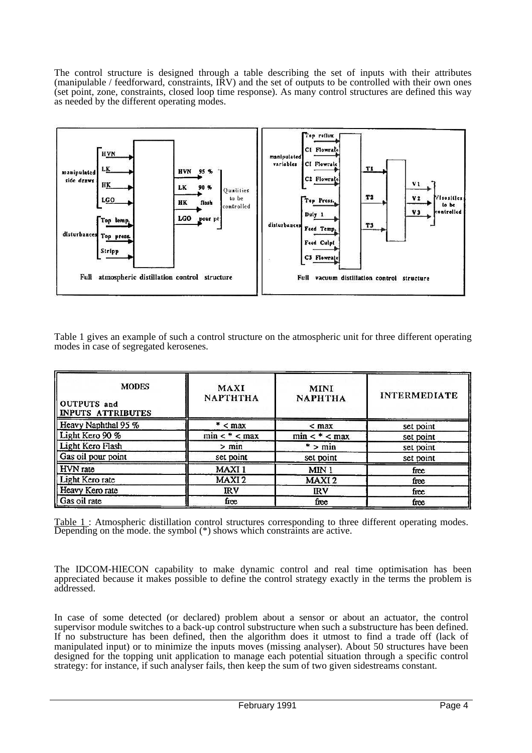The control structure is designed through a table describing the set of inputs with their attributes (manipulable / feedforward, constraints, IRV) and the set of outputs to be controlled with their own ones (set point*,* zone, constraints, closed loop time response). As many control structures are defined this way as needed by the different operating modes.



Table 1 gives an example of such a control structure on the atmospheric unit for three different operating modes in case of segregated kerosenes.

| <b>MODES</b><br><b>OUTPUTS</b> and<br><b>INPUTS ATTRIBUTES</b> | MAXI<br><b>NAPTHTHA</b> | <b>MINI</b><br><b>NAPHTHA</b> | <b>INTERMEDIATE</b> |
|----------------------------------------------------------------|-------------------------|-------------------------------|---------------------|
| Heavy Naphthal 95 %                                            | $*$ < max               | $<$ max                       | set point           |
| Light Kero 90 %                                                | $min <$ * < $max$       | $min <^* < max$               | set point           |
| Light Kero Flash                                               | $>$ min                 | $*$ > min                     | set point           |
| Gas oil pour point                                             | set point               | set point                     | set point           |
| <b>HVN</b> rate                                                | MAXI <sub>1</sub>       | MIN <sub>1</sub>              | free                |
| Light Kero rate                                                | MAXI <sub>2</sub>       | MAXI <sub>2</sub>             | free                |
| Heavy Kero rate                                                | IRV                     | <b>IRV</b>                    | free                |
| Gas oil rate                                                   | free                    | free                          | free                |

Table 1 : Atmospheric distillation control structures corresponding to three different operating modes. Depending on the mode. the symbol (\*) shows which constraints are active.

The IDCOM-HIECON capability to make dynamic control and real time optimisation has been appreciated because it makes possible to define the control strategy exactly in the terms the problem is addressed.

In case of some detected (or declared) problem about a sensor or about an actuator, the control supervisor module switches to a back-up control substructure when such a substructure has been defined. If no substructure has been defined, then the algorithm does it utmost to find a trade off (lack of manipulated input) or to minimize the inputs moves (missing analyser). About 50 structures have been designed for the topping unit application to manage each potential situation through a specific control strategy: for instance, if such analyser fails, then keep the sum of two given sidestreams constant.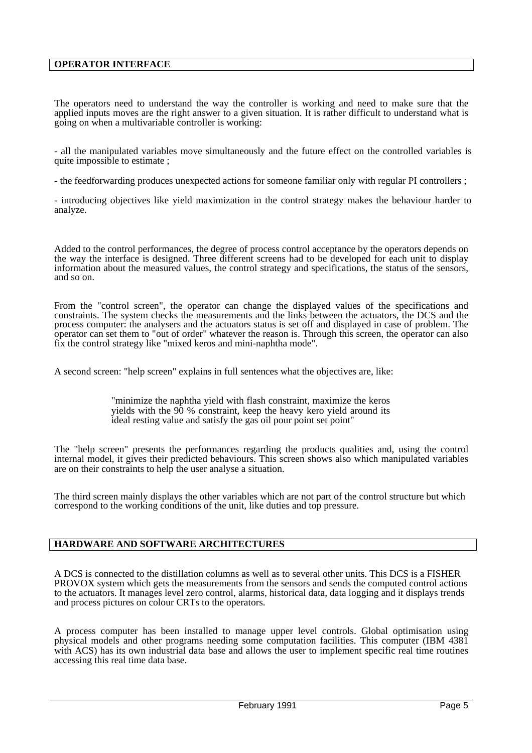# **OPERATOR INTERFACE**

The operators need to understand the way the controller is working and need to make sure that the applied inputs moves are the right answer to a given situation. It is rather difficult to understand what is going on when a multivariable controller is working:

- all the manipulated variables move simultaneously and the future effect on the controlled variables is quite impossible to estimate ;

- the feedforwarding produces unexpected actions for someone familiar only with regular PI controllers ;

- introducing objectives like yield maximization in the control strategy makes the behaviour harder to analyze.

Added to the control performances, the degree of process control acceptance by the operators depends on the way the interface is designed. Three different screens had to be developed for each unit to display information about the measured values, the control strategy and specifications, the status of the sensors, and so on.

From the "control screen", the operator can change the displayed values of the specifications and constraints. The system checks the measurements and the links between the actuators, the DCS and the process computer: the analysers and the actuators status is set off and displayed in case of problem. The operator can set them to "out of order" whatever the reason is. Through this screen, the operator can also fix the control strategy like "mixed keros and mini-naphtha mode".

A second screen: "help screen" explains in full sentences what the objectives are, like:

"minimize the naphtha yield with flash constraint, maximize the keros yields with the 90 % constraint, keep the heavy kero yield around its ideal resting value and satisfy the gas oil pour point set point"

The "help screen" presents the performances regarding the products qualities and, using the control internal model, it gives their predicted behaviours. This screen shows also which manipulated variables are on their constraints to help the user analyse a situation.

The third screen mainly displays the other variables which are not part of the control structure but which correspond to the working conditions of the unit, like duties and top pressure.

# **HARDWARE AND SOFTWARE ARCHITECTURES**

A DCS is connected to the distillation columns as well as to several other units. This DCS is a FISHER PROVOX system which gets the measurements from the sensors and sends the computed control actions to the actuators. It manages level zero control, alarms, historical data, data logging and it displays trends and process pictures on colour CRTs to the operators.

A process computer has been installed to manage upper level controls. Global optimisation using physical models and other programs needing some computation facilities. This computer (IBM 4381 with ACS) has its own industrial data base and allows the user to implement specific real time routines accessing this real time data base.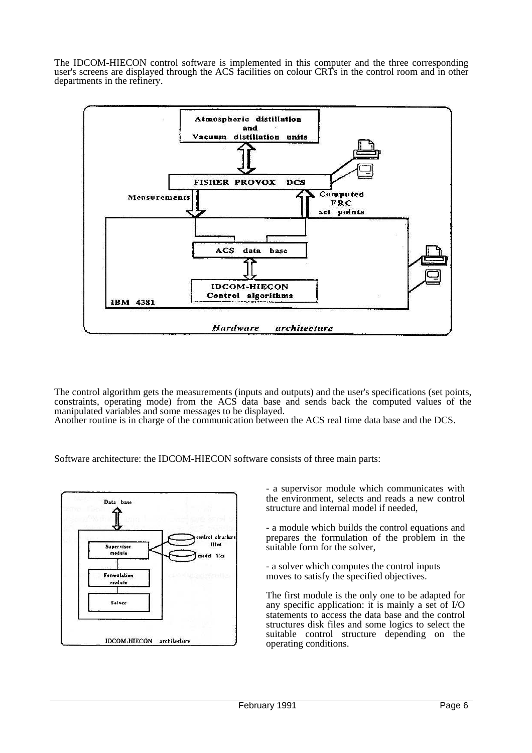The IDCOM-HIECON control software is implemented in this computer and the three corresponding user's screens are displayed through the ACS facilities on colour CRTs in the control room and in other departments in the refinery.



The control algorithm gets the measurements (inputs and outputs) and the user's specifications (set points, constraints, operating mode) from the ACS data base and sends back the computed values of the manipulated variables and some messages to be displayed.

Another routine is in charge of the communication between the ACS real time data base and the DCS.

Software architecture: the IDCOM-HIECON software consists of three main parts:



- a supervisor module which communicates with the environment, selects and reads a new control structure and internal model if needed,

- a module which builds the control equations and prepares the formulation of the problem in the suitable form for the solver,

- a solver which computes the control inputs moves to satisfy the specified objectives.

The first module is the only one to be adapted for any specific application: it is mainly a set of I/O statements to access the data base and the control structures disk files and some logics to select the suitable control structure depending on the operating conditions.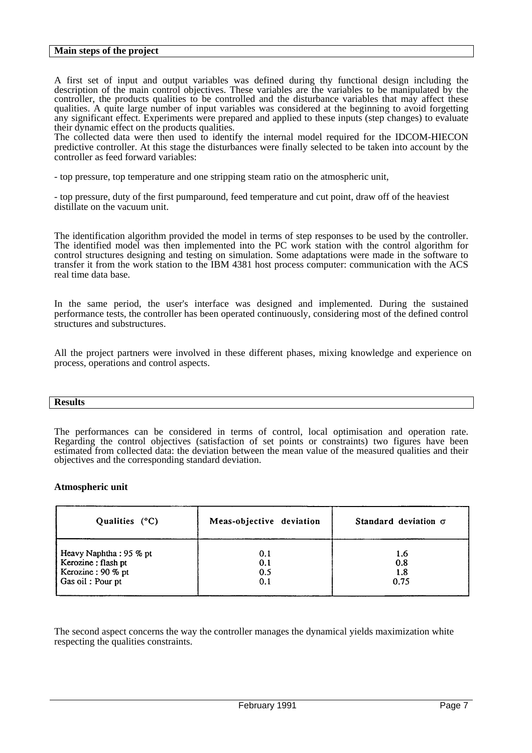## **Main steps of the project**

A first set of input and output variables was defined during thy functional design including the description of the main control objectives. These variables are the variables to be manipulated by the controller, the products qualities to be controlled and the disturbance variables that may affect these qualities. A quite large number of input variables was considered at the beginning to avoid forgetting any significant effect. Experiments were prepared and applied to these inputs (step changes) to evaluate their dynamic effect on the products qualities.

The collected data were then used to identify the internal model required for the IDCOM-HIECON predictive controller. At this stage the disturbances were finally selected to be taken into account by the controller as feed forward variables:

- top pressure, top temperature and one stripping steam ratio on the atmospheric unit,

- top pressure, duty of the first pumparound, feed temperature and cut point, draw off of the heaviest distillate on the vacuum unit.

The identification algorithm provided the model in terms of step responses to be used by the controller. The identified model was then implemented into the PC work station with the control algorithm for control structures designing and testing on simulation. Some adaptations were made in the software to transfer it from the work station to the IBM 4381 host process computer: communication with the ACS real time data base.

In the same period, the user's interface was designed and implemented. During the sustained performance tests, the controller has been operated continuously, considering most of the defined control structures and substructures.

All the project partners were involved in these different phases, mixing knowledge and experience on process, operations and control aspects.

## **Results**

The performances can be considered in terms of control, local optimisation and operation rate. Regarding the control objectives (satisfaction of set points or constraints) two figures have been estimated from collected data: the deviation between the mean value of the measured qualities and their objectives and the corresponding standard deviation.

# **Atmospheric unit**

| Qualities $(^{\circ}C)$                 | Meas-objective deviation | Standard deviation $\sigma$ |
|-----------------------------------------|--------------------------|-----------------------------|
| Heavy Naphtha: 95 % pt                  | 0.1                      | 1.6                         |
| Kerozine: flash pt<br>Kerozine: 90 % pt | 0.1<br>0.5               | 0.8<br>1.8                  |
| Gas oil: Pour pt                        | 0.1                      | 0.75                        |

The second aspect concerns the way the controller manages the dynamical yields maximization white respecting the qualities constraints.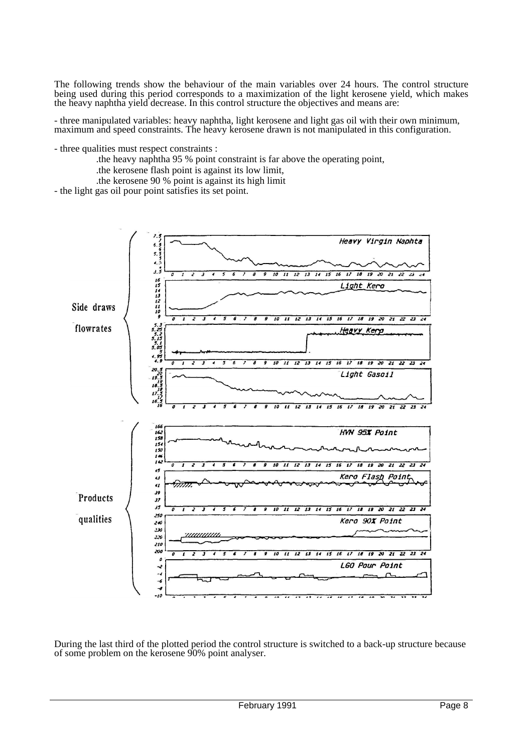The following trends show the behaviour of the main variables over 24 hours. The control structure being used during this period corresponds to a maximization of the light kerosene yield, which makes the heavy naphtha yield decrease. In this control structure the objectives and means are:

- three manipulated variables: heavy naphtha, light kerosene and light gas oil with their own minimum, maximum and speed constraints. The heavy kerosene drawn is not manipulated in this configuration.

- three qualities must respect constraints :

- .the heavy naphtha 95 % point constraint is far above the operating point,
- .the kerosene flash point is against its low limit,
- .the kerosene 90 % point is against its high limit

- the light gas oil pour point satisfies its set point.



During the last third of the plotted period the control structure is switched to a back-up structure because of some problem on the kerosene 90% point analyser.